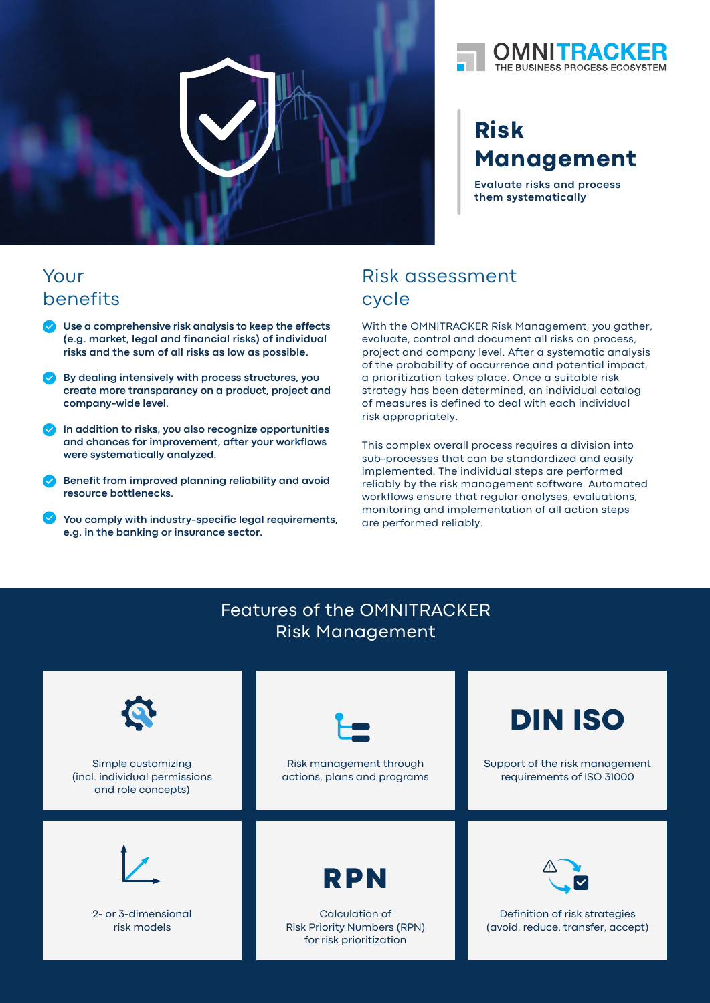



# **Risk Management**

**Evaluate risks and process them systematically**

## Your benefits

- **Use a comprehensive risk analysis to keep the effects (e.g. market, legal and financial risks) of individual risks and the sum of all risks as low as possible.**
- **By dealing intensively with process structures, you create more transparancy on a product, project and company-wide level.**
- **In addition to risks, you also recognize opportunities and chances for improvement, after your workflows were systematically analyzed.**
- **Benefit from improved planning reliability and avoid resource bottlenecks.**
- **You comply with industry-specific legal requirements, e.g. in the banking or insurance sector.**

# Risk assessment cycle

With the OMNITRACKER Risk Management, you gather, evaluate, control and document all risks on process, project and company level. After a systematic analysis of the probability of occurrence and potential impact, a prioritization takes place. Once a suitable risk strategy has been determined, an individual catalog of measures is defined to deal with each individual risk appropriately.

This complex overall process requires a division into sub-processes that can be standardized and easily implemented. The individual steps are performed reliably by the risk management software. Automated workflows ensure that regular analyses, evaluations, monitoring and implementation of all action steps are performed reliably.

#### Features of the OMNITRACKER Risk Management